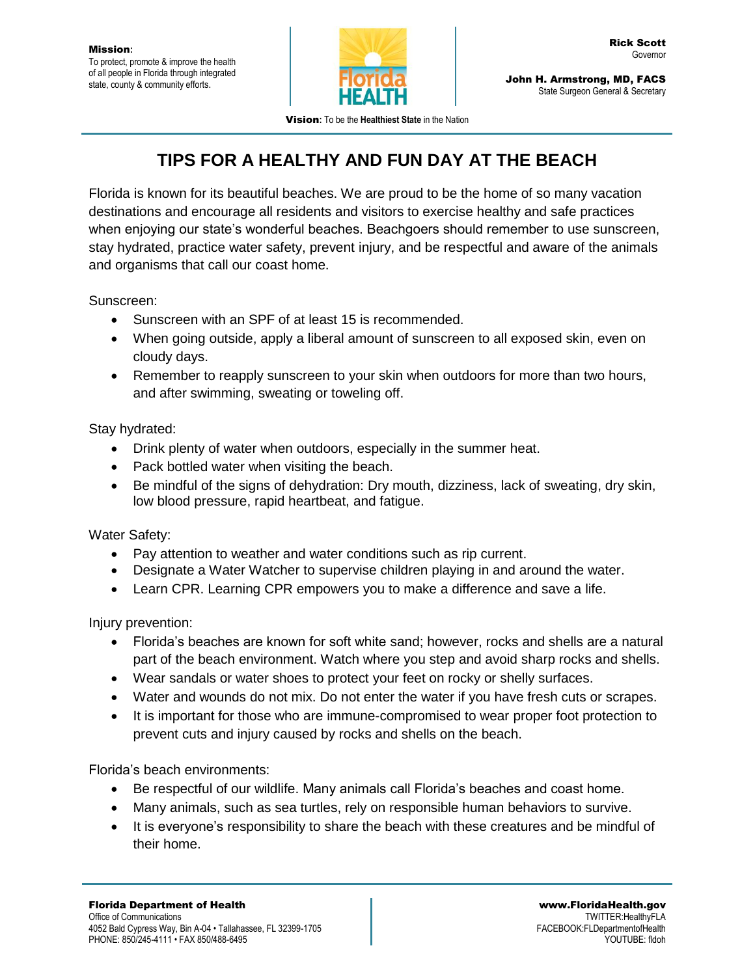

John H. Armstrong, MD, FACS State Surgeon General & Secretary

Vision**:** To be the **Healthiest State** in the Nation

## **TIPS FOR A HEALTHY AND FUN DAY AT THE BEACH**

Florida is known for its beautiful beaches. We are proud to be the home of so many vacation destinations and encourage all residents and visitors to exercise healthy and safe practices when enjoying our state's wonderful beaches. Beachgoers should remember to use sunscreen, stay hydrated, practice water safety, prevent injury, and be respectful and aware of the animals and organisms that call our coast home.

Sunscreen:

- Sunscreen with an SPF of at least 15 is recommended.
- When going outside, apply a liberal amount of sunscreen to all exposed skin, even on cloudy days.
- Remember to reapply sunscreen to your skin when outdoors for more than two hours, and after swimming, sweating or toweling off.

Stay hydrated:

- Drink plenty of water when outdoors, especially in the summer heat.
- Pack bottled water when visiting the beach.
- Be mindful of the signs of dehydration: Dry mouth, dizziness, lack of sweating, dry skin, low blood pressure, rapid heartbeat, and fatigue.

Water Safety:

- Pay attention to weather and water conditions such as rip current.
- Designate a Water Watcher to supervise children playing in and around the water.
- Learn CPR. Learning CPR empowers you to make a difference and save a life.

Injury prevention:

- Florida's beaches are known for soft white sand; however, rocks and shells are a natural part of the beach environment. Watch where you step and avoid sharp rocks and shells.
- Wear sandals or water shoes to protect your feet on rocky or shelly surfaces.
- Water and wounds do not mix. Do not enter the water if you have fresh cuts or scrapes.
- It is important for those who are immune-compromised to wear proper foot protection to prevent cuts and injury caused by rocks and shells on the beach.

Florida's beach environments:

- Be respectful of our wildlife. Many animals call Florida's beaches and coast home.
- Many animals, such as sea turtles, rely on responsible human behaviors to survive.
- It is everyone's responsibility to share the beach with these creatures and be mindful of their home.